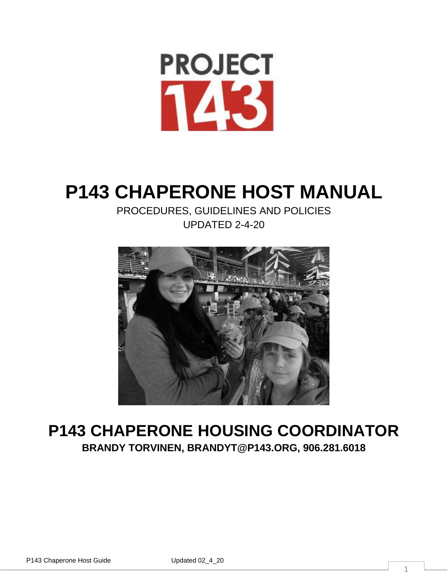

# **P143 CHAPERONE HOST MANUAL**

PROCEDURES, GUIDELINES AND POLICIES UPDATED 2-4-20



# **P143 CHAPERONE HOUSING COORDINATOR BRANDY TORVINEN, BRANDYT@P143.ORG, 906.281.6018**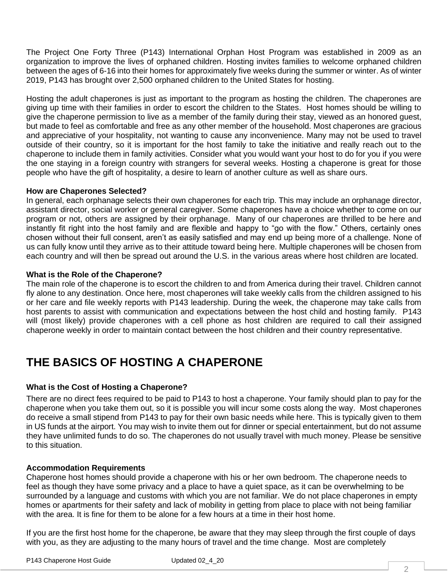The Project One Forty Three (P143) International Orphan Host Program was established in 2009 as an organization to improve the lives of orphaned children. Hosting invites families to welcome orphaned children between the ages of 6-16 into their homes for approximately five weeks during the summer or winter. As of winter 2019, P143 has brought over 2,500 orphaned children to the United States for hosting.

Hosting the adult chaperones is just as important to the program as hosting the children. The chaperones are giving up time with their families in order to escort the children to the States. Host homes should be willing to give the chaperone permission to live as a member of the family during their stay, viewed as an honored guest, but made to feel as comfortable and free as any other member of the household. Most chaperones are gracious and appreciative of your hospitality, not wanting to cause any inconvenience. Many may not be used to travel outside of their country, so it is important for the host family to take the initiative and really reach out to the chaperone to include them in family activities. Consider what you would want your host to do for you if you were the one staying in a foreign country with strangers for several weeks. Hosting a chaperone is great for those people who have the gift of hospitality, a desire to learn of another culture as well as share ours.

# **How are Chaperones Selected?**

In general, each orphanage selects their own chaperones for each trip. This may include an orphanage director, assistant director, social worker or general caregiver. Some chaperones have a choice whether to come on our program or not, others are assigned by their orphanage. Many of our chaperones are thrilled to be here and instantly fit right into the host family and are flexible and happy to "go with the flow." Others, certainly ones chosen without their full consent, aren't as easily satisfied and may end up being more of a challenge. None of us can fully know until they arrive as to their attitude toward being here. Multiple chaperones will be chosen from each country and will then be spread out around the U.S. in the various areas where host children are located.

# **What is the Role of the Chaperone?**

The main role of the chaperone is to escort the children to and from America during their travel. Children cannot fly alone to any destination. Once here, most chaperones will take weekly calls from the children assigned to his or her care and file weekly reports with P143 leadership. During the week, the chaperone may take calls from host parents to assist with communication and expectations between the host child and hosting family. P143 will (most likely) provide chaperones with a cell phone as host children are required to call their assigned chaperone weekly in order to maintain contact between the host children and their country representative.

# **THE BASICS OF HOSTING A CHAPERONE**

# **What is the Cost of Hosting a Chaperone?**

There are no direct fees required to be paid to P143 to host a chaperone. Your family should plan to pay for the chaperone when you take them out, so it is possible you will incur some costs along the way. Most chaperones do receive a small stipend from P143 to pay for their own basic needs while here. This is typically given to them in US funds at the airport. You may wish to invite them out for dinner or special entertainment, but do not assume they have unlimited funds to do so. The chaperones do not usually travel with much money. Please be sensitive to this situation.

# **Accommodation Requirements**

Chaperone host homes should provide a chaperone with his or her own bedroom. The chaperone needs to feel as though they have some privacy and a place to have a quiet space, as it can be overwhelming to be surrounded by a language and customs with which you are not familiar. We do not place chaperones in empty homes or apartments for their safety and lack of mobility in getting from place to place with not being familiar with the area. It is fine for them to be alone for a few hours at a time in their host home.

If you are the first host home for the chaperone, be aware that they may sleep through the first couple of days with you, as they are adjusting to the many hours of travel and the time change. Most are completely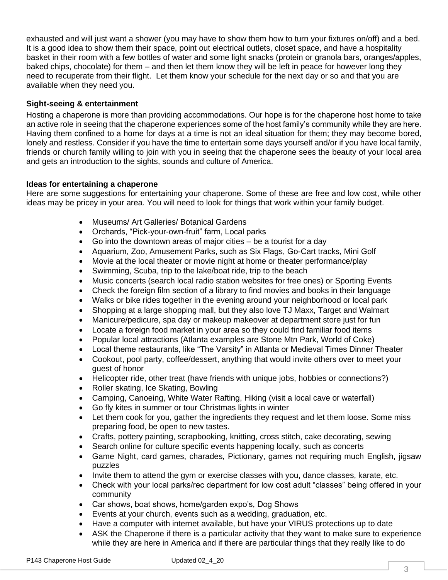exhausted and will just want a shower (you may have to show them how to turn your fixtures on/off) and a bed. It is a good idea to show them their space, point out electrical outlets, closet space, and have a hospitality basket in their room with a few bottles of water and some light snacks (protein or granola bars, oranges/apples, baked chips, chocolate) for them – and then let them know they will be left in peace for however long they need to recuperate from their flight. Let them know your schedule for the next day or so and that you are available when they need you.

# **Sight-seeing & entertainment**

Hosting a chaperone is more than providing accommodations. Our hope is for the chaperone host home to take an active role in seeing that the chaperone experiences some of the host family's community while they are here. Having them confined to a home for days at a time is not an ideal situation for them; they may become bored, lonely and restless. Consider if you have the time to entertain some days yourself and/or if you have local family, friends or church family willing to join with you in seeing that the chaperone sees the beauty of your local area and gets an introduction to the sights, sounds and culture of America.

# **Ideas for entertaining a chaperone**

Here are some suggestions for entertaining your chaperone. Some of these are free and low cost, while other ideas may be pricey in your area. You will need to look for things that work within your family budget.

- Museums/ Art Galleries/ Botanical Gardens
- Orchards, "Pick-your-own-fruit" farm, Local parks
- Go into the downtown areas of major cities be a tourist for a day
- Aquarium, Zoo, Amusement Parks, such as Six Flags, Go-Cart tracks, Mini Golf
- Movie at the local theater or movie night at home or theater performance/play
- Swimming, Scuba, trip to the lake/boat ride, trip to the beach
- Music concerts (search local radio station websites for free ones) or Sporting Events
- Check the foreign film section of a library to find movies and books in their language
- Walks or bike rides together in the evening around your neighborhood or local park
- Shopping at a large shopping mall, but they also love TJ Maxx, Target and Walmart
- Manicure/pedicure, spa day or makeup makeover at department store just for fun
- Locate a foreign food market in your area so they could find familiar food items
- Popular local attractions (Atlanta examples are Stone Mtn Park, World of Coke)
- Local theme restaurants, like "The Varsity" in Atlanta or Medieval Times Dinner Theater
- Cookout, pool party, coffee/dessert, anything that would invite others over to meet your guest of honor
- Helicopter ride, other treat (have friends with unique jobs, hobbies or connections?)
- Roller skating, Ice Skating, Bowling
- Camping, Canoeing, White Water Rafting, Hiking (visit a local cave or waterfall)
- Go fly kites in summer or tour Christmas lights in winter
- Let them cook for you, gather the ingredients they request and let them loose. Some miss preparing food, be open to new tastes.
- Crafts, pottery painting, scrapbooking, knitting, cross stitch, cake decorating, sewing
- Search online for culture specific events happening locally, such as concerts
- Game Night, card games, charades, Pictionary, games not requiring much English, jigsaw puzzles
- Invite them to attend the gym or exercise classes with you, dance classes, karate, etc.
- Check with your local parks/rec department for low cost adult "classes" being offered in your community
- Car shows, boat shows, home/garden expo's, Dog Shows
- Events at your church, events such as a wedding, graduation, etc.
- Have a computer with internet available, but have your VIRUS protections up to date
- ASK the Chaperone if there is a particular activity that they want to make sure to experience while they are here in America and if there are particular things that they really like to do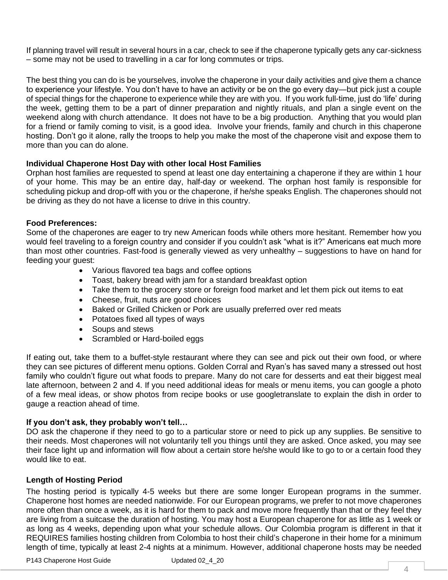If planning travel will result in several hours in a car, check to see if the chaperone typically gets any car-sickness – some may not be used to travelling in a car for long commutes or trips.

The best thing you can do is be yourselves, involve the chaperone in your daily activities and give them a chance to experience your lifestyle. You don't have to have an activity or be on the go every day—but pick just a couple of special things for the chaperone to experience while they are with you. If you work full-time, just do 'life' during the week, getting them to be a part of dinner preparation and nightly rituals, and plan a single event on the weekend along with church attendance. It does not have to be a big production. Anything that you would plan for a friend or family coming to visit, is a good idea. Involve your friends, family and church in this chaperone hosting. Don't go it alone, rally the troops to help you make the most of the chaperone visit and expose them to more than you can do alone.

# **Individual Chaperone Host Day with other local Host Families**

Orphan host families are requested to spend at least one day entertaining a chaperone if they are within 1 hour of your home. This may be an entire day, half-day or weekend. The orphan host family is responsible for scheduling pickup and drop-off with you or the chaperone, if he/she speaks English. The chaperones should not be driving as they do not have a license to drive in this country.

# **Food Preferences:**

Some of the chaperones are eager to try new American foods while others more hesitant. Remember how you would feel traveling to a foreign country and consider if you couldn't ask "what is it?" Americans eat much more than most other countries. Fast-food is generally viewed as very unhealthy – suggestions to have on hand for feeding your guest:

- Various flavored tea bags and coffee options
- Toast, bakery bread with jam for a standard breakfast option
- Take them to the grocery store or foreign food market and let them pick out items to eat
- Cheese, fruit, nuts are good choices
- Baked or Grilled Chicken or Pork are usually preferred over red meats
- Potatoes fixed all types of ways
- Soups and stews
- Scrambled or Hard-boiled eggs

If eating out, take them to a buffet-style restaurant where they can see and pick out their own food, or where they can see pictures of different menu options. Golden Corral and Ryan's has saved many a stressed out host family who couldn't figure out what foods to prepare. Many do not care for desserts and eat their biggest meal late afternoon, between 2 and 4. If you need additional ideas for meals or menu items, you can google a photo of a few meal ideas, or show photos from recipe books or use googletranslate to explain the dish in order to gauge a reaction ahead of time.

#### **If you don't ask, they probably won't tell…**

DO ask the chaperone if they need to go to a particular store or need to pick up any supplies. Be sensitive to their needs. Most chaperones will not voluntarily tell you things until they are asked. Once asked, you may see their face light up and information will flow about a certain store he/she would like to go to or a certain food they would like to eat.

# **Length of Hosting Period**

The hosting period is typically 4-5 weeks but there are some longer European programs in the summer. Chaperone host homes are needed nationwide. For our European programs, we prefer to not move chaperones more often than once a week, as it is hard for them to pack and move more frequently than that or they feel they are living from a suitcase the duration of hosting. You may host a European chaperone for as little as 1 week or as long as 4 weeks, depending upon what your schedule allows. Our Colombia program is different in that it REQUIRES families hosting children from Colombia to host their child's chaperone in their home for a minimum length of time, typically at least 2-4 nights at a minimum. However, additional chaperone hosts may be needed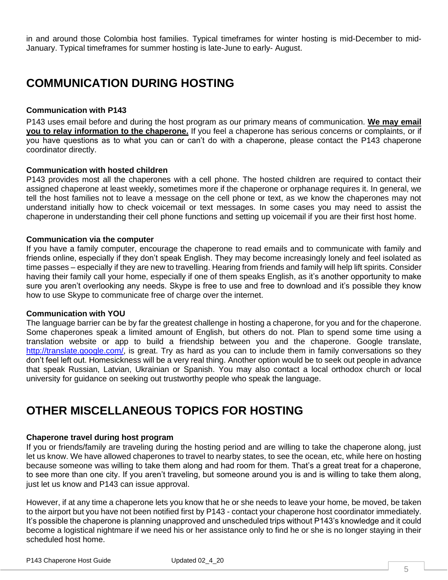in and around those Colombia host families. Typical timeframes for winter hosting is mid-December to mid-January. Typical timeframes for summer hosting is late-June to early- August.

# **COMMUNICATION DURING HOSTING**

# **Communication with P143**

P143 uses email before and during the host program as our primary means of communication. **We may email you to relay information to the chaperone.** If you feel a chaperone has serious concerns or complaints, or if you have questions as to what you can or can't do with a chaperone, please contact the P143 chaperone coordinator directly.

#### **Communication with hosted children**

P143 provides most all the chaperones with a cell phone. The hosted children are required to contact their assigned chaperone at least weekly, sometimes more if the chaperone or orphanage requires it. In general, we tell the host families not to leave a message on the cell phone or text, as we know the chaperones may not understand initially how to check voicemail or text messages. In some cases you may need to assist the chaperone in understanding their cell phone functions and setting up voicemail if you are their first host home.

#### **Communication via the computer**

If you have a family computer, encourage the chaperone to read emails and to communicate with family and friends online, especially if they don't speak English. They may become increasingly lonely and feel isolated as time passes – especially if they are new to travelling. Hearing from friends and family will help lift spirits. Consider having their family call your home, especially if one of them speaks English, as it's another opportunity to make sure you aren't overlooking any needs. Skype is free to use and free to download and it's possible they know how to use Skype to communicate free of charge over the internet.

#### **Communication with YOU**

The language barrier can be by far the greatest challenge in hosting a chaperone, for you and for the chaperone. Some chaperones speak a limited amount of English, but others do not. Plan to spend some time using a translation website or app to build a friendship between you and the chaperone. Google translate, [http://translate.google.com/,](http://translate.google.com/) is great. Try as hard as you can to include them in family conversations so they don't feel left out. Homesickness will be a very real thing. Another option would be to seek out people in advance that speak Russian, Latvian, Ukrainian or Spanish. You may also contact a local orthodox church or local university for guidance on seeking out trustworthy people who speak the language.

# **OTHER MISCELLANEOUS TOPICS FOR HOSTING**

# **Chaperone travel during host program**

If you or friends/family are traveling during the hosting period and are willing to take the chaperone along, just let us know. We have allowed chaperones to travel to nearby states, to see the ocean, etc, while here on hosting because someone was willing to take them along and had room for them. That's a great treat for a chaperone, to see more than one city. If you aren't traveling, but someone around you is and is willing to take them along, just let us know and P143 can issue approval.

However, if at any time a chaperone lets you know that he or she needs to leave your home, be moved, be taken to the airport but you have not been notified first by P143 - contact your chaperone host coordinator immediately. It's possible the chaperone is planning unapproved and unscheduled trips without P143's knowledge and it could become a logistical nightmare if we need his or her assistance only to find he or she is no longer staying in their scheduled host home.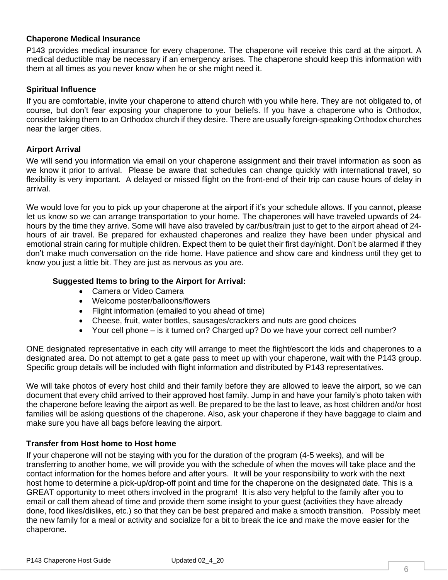# **Chaperone Medical Insurance**

P143 provides medical insurance for every chaperone. The chaperone will receive this card at the airport. A medical deductible may be necessary if an emergency arises. The chaperone should keep this information with them at all times as you never know when he or she might need it.

### **Spiritual Influence**

If you are comfortable, invite your chaperone to attend church with you while here. They are not obligated to, of course, but don't fear exposing your chaperone to your beliefs. If you have a chaperone who is Orthodox, consider taking them to an Orthodox church if they desire. There are usually foreign-speaking Orthodox churches near the larger cities.

#### **Airport Arrival**

We will send you information via email on your chaperone assignment and their travel information as soon as we know it prior to arrival. Please be aware that schedules can change quickly with international travel, so flexibility is very important. A delayed or missed flight on the front-end of their trip can cause hours of delay in arrival.

We would love for you to pick up your chaperone at the airport if it's your schedule allows. If you cannot, please let us know so we can arrange transportation to your home. The chaperones will have traveled upwards of 24 hours by the time they arrive. Some will have also traveled by car/bus/train just to get to the airport ahead of 24 hours of air travel. Be prepared for exhausted chaperones and realize they have been under physical and emotional strain caring for multiple children. Expect them to be quiet their first day/night. Don't be alarmed if they don't make much conversation on the ride home. Have patience and show care and kindness until they get to know you just a little bit. They are just as nervous as you are.

#### **Suggested Items to bring to the Airport for Arrival:**

- Camera or Video Camera
- Welcome poster/balloons/flowers
- Flight information (emailed to you ahead of time)
- Cheese, fruit, water bottles, sausages/crackers and nuts are good choices
- Your cell phone is it turned on? Charged up? Do we have your correct cell number?

ONE designated representative in each city will arrange to meet the flight/escort the kids and chaperones to a designated area. Do not attempt to get a gate pass to meet up with your chaperone, wait with the P143 group. Specific group details will be included with flight information and distributed by P143 representatives.

We will take photos of every host child and their family before they are allowed to leave the airport, so we can document that every child arrived to their approved host family. Jump in and have your family's photo taken with the chaperone before leaving the airport as well. Be prepared to be the last to leave, as host children and/or host families will be asking questions of the chaperone. Also, ask your chaperone if they have baggage to claim and make sure you have all bags before leaving the airport.

# **Transfer from Host home to Host home**

If your chaperone will not be staying with you for the duration of the program (4-5 weeks), and will be transferring to another home, we will provide you with the schedule of when the moves will take place and the contact information for the homes before and after yours. It will be your responsibility to work with the next host home to determine a pick-up/drop-off point and time for the chaperone on the designated date. This is a GREAT opportunity to meet others involved in the program! It is also very helpful to the family after you to email or call them ahead of time and provide them some insight to your guest (activities they have already done, food likes/dislikes, etc.) so that they can be best prepared and make a smooth transition. Possibly meet the new family for a meal or activity and socialize for a bit to break the ice and make the move easier for the chaperone.